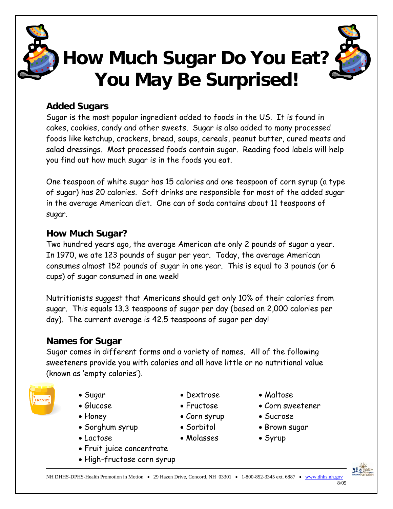

# **How Much Sugar Do You Eat? You May Be Surprised!**

### **Added Sugars**

Sugar is the most popular ingredient added to foods in the US. It is found in cakes, cookies, candy and other sweets. Sugar is also added to many processed foods like ketchup, crackers, bread, soups, cereals, peanut butter, cured meats and salad dressings. Most processed foods contain sugar. Reading food labels will help you find out how much sugar is in the foods you eat.

One teaspoon of white sugar has 15 calories and one teaspoon of corn syrup (a type of sugar) has 20 calories. Soft drinks are responsible for most of the added sugar in the average American diet. One can of soda contains about 11 teaspoons of sugar.

#### **How Much Sugar?**

Two hundred years ago, the average American ate only 2 pounds of sugar a year. In 1970, we ate 123 pounds of sugar per year. Today, the average American consumes almost 152 pounds of sugar in one year. This is equal to 3 pounds (or 6 cups) of sugar consumed in one week!

Nutritionists suggest that Americans should get only 10% of their calories from sugar. This equals 13.3 teaspoons of sugar per day (based on 2,000 calories per day). The current average is 42.5 teaspoons of sugar per day!

## **Names for Sugar**

Sugar comes in different forms and a variety of names. All of the following sweeteners provide you with calories and all have little or no nutritional value (known as 'empty calories').



- 
- 
- 
- Sorghum syrup Sorbitol Brown sugar
- Lactose Molasses Syrup
- Fruit juice concentrate
- High-fructose corn syrup
- Sugar Dextrose Maltose
	-
	-
	-
	-
	-
- 
- Glucose Fructose Corn sweetener
- Honey Corn syrup Sucrose
	-
	-

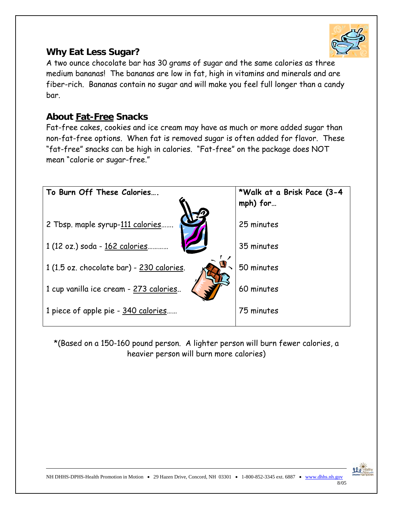

#### **Why Eat Less Sugar?**

A two ounce chocolate bar has 30 grams of sugar and the same calories as three medium bananas! The bananas are low in fat, high in vitamins and minerals and are fiber-rich. Bananas contain no sugar and will make you feel full longer than a candy bar.

#### **About Fat-Free Snacks**

Fat-free cakes, cookies and ice cream may have as much or more added sugar than non-fat-free options. When fat is removed sugar is often added for flavor. These "fat-free" snacks can be high in calories. "Fat-free" on the package does NOT mean "calorie or sugar-free."



\*(Based on a 150-160 pound person. A lighter person will burn fewer calories, a heavier person will burn more calories)



8/05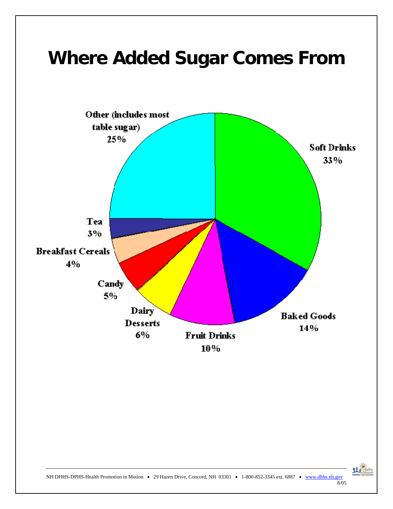



NH DHHS-DPHS-Health Promotion in Motion • 29 Hazen Drive, Concord, NH 03301 • 1-800-852-3345 ext. 6887 • www.dhhs.nh.gov

8/05